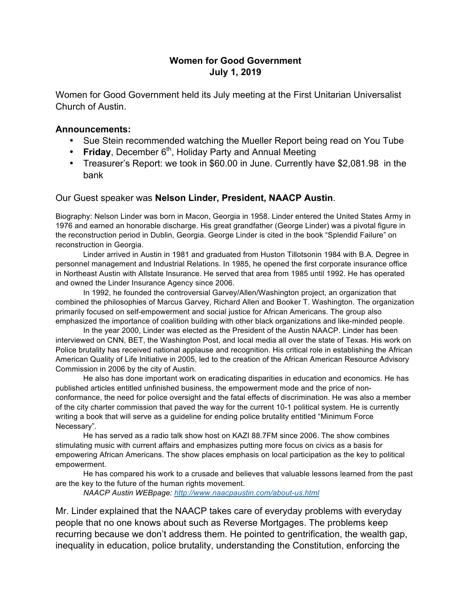## **Women for Good Government July 1, 2019**

Women for Good Government held its July meeting at the First Unitarian Universalist Church of Austin.

## **Announcements:**

- Sue Stein recommended watching the Mueller Report being read on You Tube
- **Friday**, December 6<sup>th</sup>, Holiday Party and Annual Meeting
- Treasurer's Report: we took in \$60.00 in June. Currently have \$2,081.98 in the bank

## Our Guest speaker was **Nelson Linder, President, NAACP Austin**.

Biography: Nelson Linder was born in Macon, Georgia in 1958. Linder entered the United States Army in 1976 and earned an honorable discharge. His great grandfather (George Linder) was a pivotal figure in the reconstruction period in Dublin, Georgia. George Linder is cited in the book "Splendid Failure" on reconstruction in Georgia.

Linder arrived in Austin in 1981 and graduated from Huston Tillotsonin 1984 with B.A. Degree in personnel management and Industrial Relations. In 1985, he opened the first corporate insurance office in Northeast Austin with Allstate Insurance. He served that area from 1985 until 1992. He has operated and owned the Linder Insurance Agency since 2006.

In 1992, he founded the controversial Garvey/Allen/Washington project, an organization that combined the philosophies of Marcus Garvey, Richard Allen and Booker T. Washington. The organization primarily focused on self-empowerment and social justice for African Americans. The group also emphasized the importance of coalition building with other black organizations and like-minded people.

In the year 2000, Linder was elected as the President of the Austin NAACP. Linder has been interviewed on CNN, BET, the Washington Post, and local media all over the state of Texas. His work on Police brutality has received national applause and recognition. His critical role in establishing the African American Quality of Life Initiative in 2005, led to the creation of the African American Resource Advisory Commission in 2006 by the city of Austin.

He also has done important work on eradicating disparities in education and economics. He has published articles entitled unfinished business, the empowerment mode and the price of nonconformance, the need for police oversight and the fatal effects of discrimination. He was also a member of the city charter commission that paved the way for the current 10-1 political system. He is currently writing a book that will serve as a guideline for ending police brutality entitled "Minimum Force Necessary".

He has served as a radio talk show host on KAZI 88.7FM since 2006. The show combines stimulating music with current affairs and emphasizes putting more focus on civics as a basis for empowering African Americans. The show places emphasis on local participation as the key to political empowerment.

He has compared his work to a crusade and believes that valuable lessons learned from the past are the key to the future of the human rights movement.

*NAACP Austin WEBpage: http://www.naacpaustin.com/about-us.html*

Mr. Linder explained that the NAACP takes care of everyday problems with everyday people that no one knows about such as Reverse Mortgages. The problems keep recurring because we don't address them. He pointed to gentrification, the wealth gap, inequality in education, police brutality, understanding the Constitution, enforcing the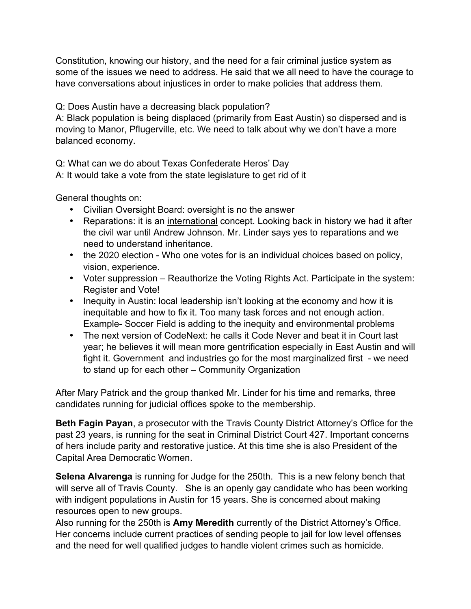Constitution, knowing our history, and the need for a fair criminal justice system as some of the issues we need to address. He said that we all need to have the courage to have conversations about injustices in order to make policies that address them.

Q: Does Austin have a decreasing black population?

A: Black population is being displaced (primarily from East Austin) so dispersed and is moving to Manor, Pflugerville, etc. We need to talk about why we don't have a more balanced economy.

Q: What can we do about Texas Confederate Heros' Day

A: It would take a vote from the state legislature to get rid of it

General thoughts on:

- Civilian Oversight Board: oversight is no the answer
- Reparations: it is an international concept. Looking back in history we had it after the civil war until Andrew Johnson. Mr. Linder says yes to reparations and we need to understand inheritance.
- the 2020 election Who one votes for is an individual choices based on policy, vision, experience.
- Voter suppression Reauthorize the Voting Rights Act. Participate in the system: Register and Vote!
- Inequity in Austin: local leadership isn't looking at the economy and how it is inequitable and how to fix it. Too many task forces and not enough action. Example- Soccer Field is adding to the inequity and environmental problems
- The next version of CodeNext: he calls it Code Never and beat it in Court last year; he believes it will mean more gentrification especially in East Austin and will fight it. Government and industries go for the most marginalized first - we need to stand up for each other – Community Organization

After Mary Patrick and the group thanked Mr. Linder for his time and remarks, three candidates running for judicial offices spoke to the membership.

**Beth Fagin Payan**, a prosecutor with the Travis County District Attorney's Office for the past 23 years, is running for the seat in Criminal District Court 427. Important concerns of hers include parity and restorative justice. At this time she is also President of the Capital Area Democratic Women.

**Selena Alvarenga** is running for Judge for the 250th. This is a new felony bench that will serve all of Travis County. She is an openly gay candidate who has been working with indigent populations in Austin for 15 years. She is concerned about making resources open to new groups.

Also running for the 250th is **Amy Meredith** currently of the District Attorney's Office. Her concerns include current practices of sending people to jail for low level offenses and the need for well qualified judges to handle violent crimes such as homicide.